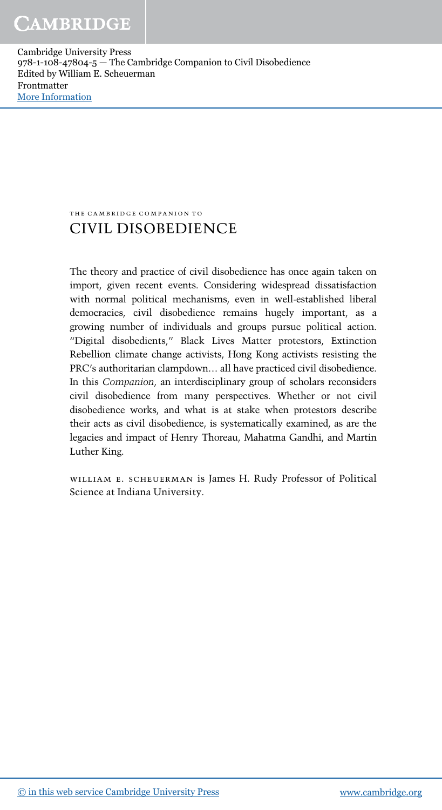the cambridge companion to

### CIVIL DISOBEDIENCE

The theory and practice of civil disobedience has once again taken on import, given recent events. Considering widespread dissatisfaction with normal political mechanisms, even in well-established liberal democracies, civil disobedience remains hugely important, as a growing number of individuals and groups pursue political action. "Digital disobedients," Black Lives Matter protestors, Extinction Rebellion climate change activists, Hong Kong activists resisting the PRC's authoritarian clampdown… all have practiced civil disobedience. In this *Companion*, an interdisciplinary group of scholars reconsiders civil disobedience from many perspectives. Whether or not civil disobedience works, and what is at stake when protestors describe their acts as civil disobedience, is systematically examined, as are the legacies and impact of Henry Thoreau, Mahatma Gandhi, and Martin Luther King.

william e. scheuerman is James H. Rudy Professor of Political Science at Indiana University.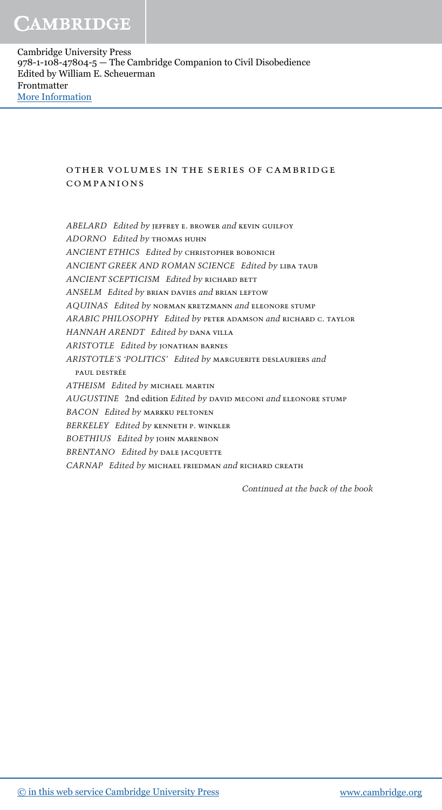### other volumes in the series of cambridge companions

*ABELARD Edited by* jeffrey e. brower *and* kevin guilfoy *ADORNO Edited by* thomas huhn *ANCIENT ETHICS Edited by* christopher bobonich *ANCIENT GREEK AND ROMAN SCIENCE Edited by* liba taub *ANCIENT SCEPTICISM Edited by* richard bett *ANSELM Edited by* brian davies *and* brian leftow *AQUINAS Edited by* norman kretzmann *and* eleonore stump *ARABIC PHILOSOPHY Edited by* peter adamson *and* richard c. taylor *HANNAH ARENDT Edited by* dana villa *ARISTOTLE Edited by* jonathan barnes *ARISTOTLE*'*S* '*POLITICS*' *Edited by* marguerite deslauriers *and* PAUL DESTRÉE *ATHEISM Edited by* michael martin *AUGUSTINE* 2nd edition *Edited by* david meconi *and* eleonore stump *BACON Edited by* markku peltonen *BERKELEY Edited by* kenneth p. winkler *BOETHIUS Edited by* john marenbon *BRENTANO Edited by* dale jacquette *CARNAP Edited by* michael friedman *and* richard creath

*Continued at the back of the book*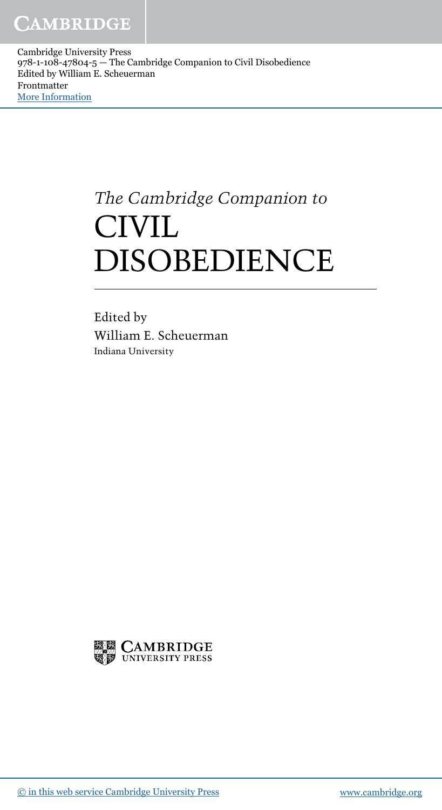# *The Cambridge Companion to* **CIVIL** DISOBEDIENCE

Edited by William E. Scheuerman Indiana University

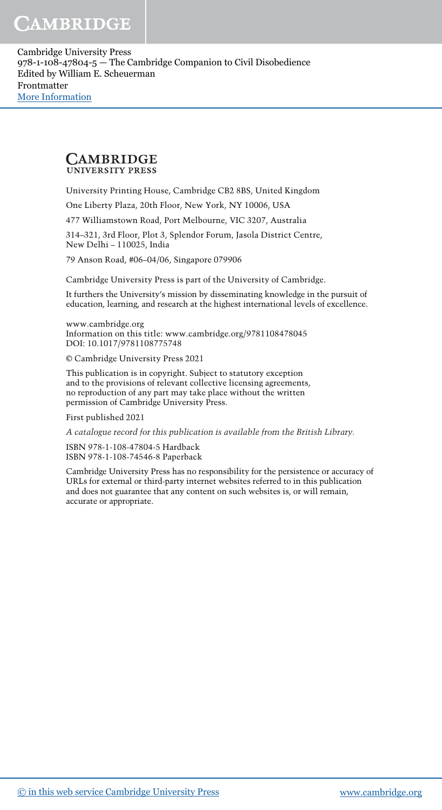#### **CAMBRIDGE UNIVERSITY PRESS**

University Printing House, Cambridge CB2 8BS, United Kingdom

One Liberty Plaza, 20th Floor, New York, NY 10006, USA

477 Williamstown Road, Port Melbourne, VIC 3207, Australia

314–321, 3rd Floor, Plot 3, Splendor Forum, Jasola District Centre, New Delhi – 110025, India

79 Anson Road, #06–04/06, Singapore 079906

Cambridge University Press is part of the University of Cambridge.

It furthers the University's mission by disseminating knowledge in the pursuit of education, learning, and research at the highest international levels of excellence.

www.cambridge.org Information on this title: www.cambridge.org/9781108478045 DOI: 10.1017/9781108775748

© Cambridge University Press 2021

This publication is in copyright. Subject to statutory exception and to the provisions of relevant collective licensing agreements, no reproduction of any part may take place without the written permission of Cambridge University Press.

First published 2021

A catalogue record for this publication is available from the British Library.

ISBN 978-1-108-47804-5 Hardback ISBN 978-1-108-74546-8 Paperback

Cambridge University Press has no responsibility for the persistence or accuracy of URLs for external or third-party internet websites referred to in this publication and does not guarantee that any content on such websites is, or will remain, accurate or appropriate.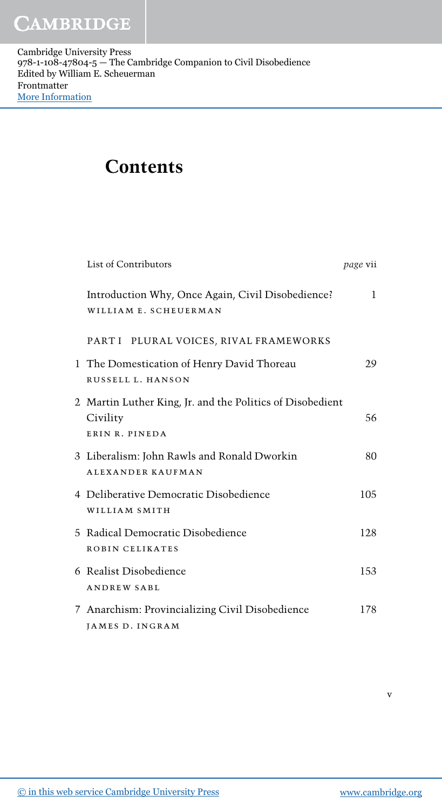### **Contents**

| List of Contributors                                                                    | <i>page</i> vii |
|-----------------------------------------------------------------------------------------|-----------------|
| Introduction Why, Once Again, Civil Disobedience?<br>WILLIAM E. SCHEUERMAN              | 1               |
| PART I PLURAL VOICES, RIVAL FRAMEWORKS                                                  |                 |
| 1 The Domestication of Henry David Thoreau<br>RUSSELL L. HANSON                         | 29              |
| 2 Martin Luther King, Jr. and the Politics of Disobedient<br>Civility<br>ERIN R. PINEDA | 56              |
| 3 Liberalism: John Rawls and Ronald Dworkin<br><b>ALEXANDER KAUFMAN</b>                 | 80              |
| 4 Deliberative Democratic Disobedience<br>WILLIAM SMITH                                 | 105             |
| 5 Radical Democratic Disobedience<br>ROBIN CELIKATES                                    | 128             |
| 6 Realist Disobedience<br><b>ANDREW SABL</b>                                            | 153             |
| 7 Anarchism: Provincializing Civil Disobedience<br>JAMES D. INGRAM                      | 178             |

v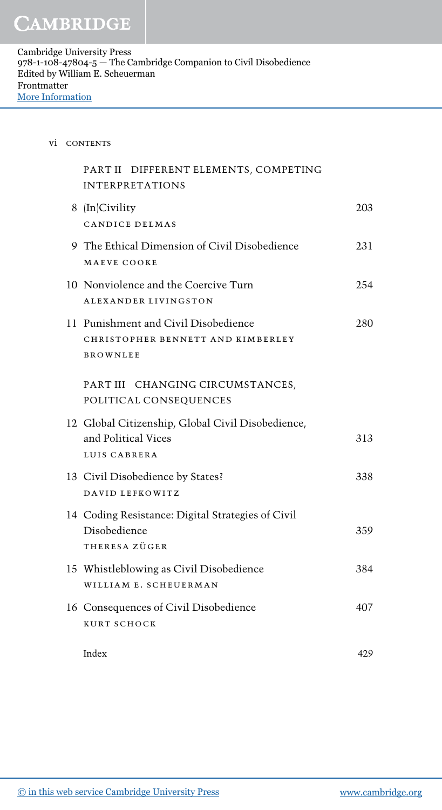| <b>CONTENTS</b><br>V1. |
|------------------------|
|------------------------|

| PART II DIFFERENT ELEMENTS, COMPETING<br><b>INTERPRETATIONS</b>                              |     |
|----------------------------------------------------------------------------------------------|-----|
| 8 (In)Civility<br>CANDICE DELMAS                                                             | 203 |
| 9 The Ethical Dimension of Civil Disobedience<br>MAEVE COOKE                                 | 231 |
| 10 Nonviolence and the Coercive Turn<br>ALEXANDER LIVINGSTON                                 | 254 |
| 11 Punishment and Civil Disobedience<br>CHRISTOPHER BENNETT AND KIMBERLEY<br><b>BROWNLEE</b> | 280 |
| PART III CHANGING CIRCUMSTANCES,<br>POLITICAL CONSEQUENCES                                   |     |
| 12 Global Citizenship, Global Civil Disobedience,<br>and Political Vices<br>LUIS CABRERA     | 313 |
| 13 Civil Disobedience by States?<br>DAVID LEFKOWITZ                                          | 338 |
| 14 Coding Resistance: Digital Strategies of Civil<br>Disobedience<br>THERESA ZÜGER           | 359 |
| 15 Whistleblowing as Civil Disobedience<br>WILLIAM E. SCHEUERMAN                             | 384 |
| 16 Consequences of Civil Disobedience<br>KURT SCHOCK                                         | 407 |
| Index                                                                                        | 429 |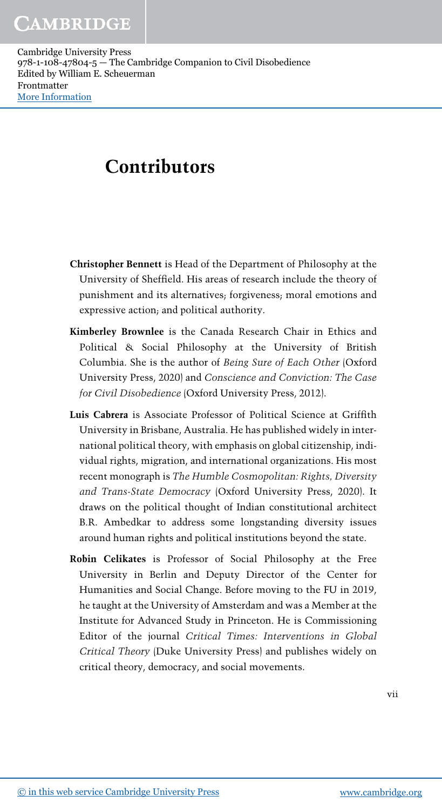### **Contributors**

- Christopher Bennett is Head of the Department of Philosophy at the University of Sheffield. His areas of research include the theory of punishment and its alternatives; forgiveness; moral emotions and expressive action; and political authority.
- Kimberley Brownlee is the Canada Research Chair in Ethics and Political & Social Philosophy at the University of British Columbia. She is the author of *Being Sure of Each Other* (Oxford University Press, 2020) and *Conscience and Conviction: The Case for Civil Disobedience* (Oxford University Press, 2012).
- Luis Cabrera is Associate Professor of Political Science at Griffith University in Brisbane, Australia. He has published widely in international political theory, with emphasis on global citizenship, individual rights, migration, and international organizations. His most recent monograph is *The Humble Cosmopolitan: Rights, Diversity and Trans-State Democracy* (Oxford University Press, 2020). It draws on the political thought of Indian constitutional architect B.R. Ambedkar to address some longstanding diversity issues around human rights and political institutions beyond the state.
- Robin Celikates is Professor of Social Philosophy at the Free University in Berlin and Deputy Director of the Center for Humanities and Social Change. Before moving to the FU in 2019, he taught at the University of Amsterdam and was a Member at the Institute for Advanced Study in Princeton. He is Commissioning Editor of the journal *Critical Times: Interventions in Global Critical Theory* (Duke University Press) and publishes widely on critical theory, democracy, and social movements.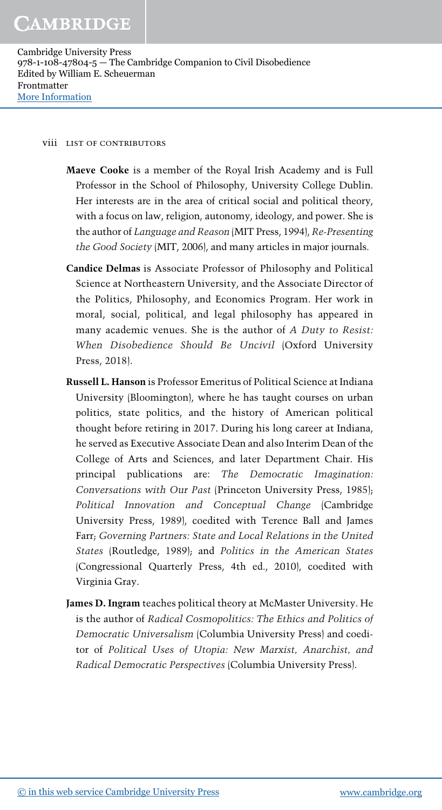#### viii list of contributors

- Maeve Cooke is a member of the Royal Irish Academy and is Full Professor in the School of Philosophy, University College Dublin. Her interests are in the area of critical social and political theory, with a focus on law, religion, autonomy, ideology, and power. She is the author of *Language and Reason* (MIT Press, 1994), *Re-Presenting the Good Society* (MIT, 2006), and many articles in major journals.
- Candice Delmas is Associate Professor of Philosophy and Political Science at Northeastern University, and the Associate Director of the Politics, Philosophy, and Economics Program. Her work in moral, social, political, and legal philosophy has appeared in many academic venues. She is the author of *A Duty to Resist: When Disobedience Should Be Uncivil* (Oxford University Press, 2018).
- Russell L. Hanson is Professor Emeritus of Political Science at Indiana University (Bloomington), where he has taught courses on urban politics, state politics, and the history of American political thought before retiring in 2017. During his long career at Indiana, he served as Executive Associate Dean and also Interim Dean of the College of Arts and Sciences, and later Department Chair. His principal publications are: *The Democratic Imagination: Conversations with Our Past* (Princeton University Press, 1985); *Political Innovation and Conceptual Change* (Cambridge University Press, 1989), coedited with Terence Ball and James Farr; *Governing Partners: State and Local Relations in the United States* (Routledge, 1989); and *Politics in the American States* (Congressional Quarterly Press, 4th ed., 2010), coedited with Virginia Gray.
- James D. Ingram teaches political theory at McMaster University. He is the author of *Radical Cosmopolitics: The Ethics and Politics of Democratic Universalism* (Columbia University Press) and coeditor of *Political Uses of Utopia: New Marxist, Anarchist, and Radical Democratic Perspectives* (Columbia University Press).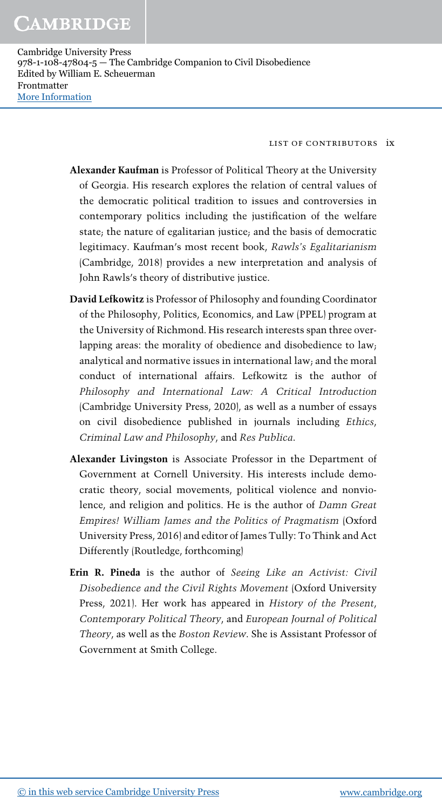list of contributors ix

- Alexander Kaufman is Professor of Political Theory at the University of Georgia. His research explores the relation of central values of the democratic political tradition to issues and controversies in contemporary politics including the justification of the welfare state; the nature of egalitarian justice; and the basis of democratic legitimacy. Kaufman's most recent book, *Rawls*'*s Egalitarianism* (Cambridge, 2018) provides a new interpretation and analysis of John Rawls's theory of distributive justice.
- David Lefkowitz is Professor of Philosophy and founding Coordinator of the Philosophy, Politics, Economics, and Law (PPEL) program at the University of Richmond. His research interests span three overlapping areas: the morality of obedience and disobedience to law; analytical and normative issues in international law; and the moral conduct of international affairs. Lefkowitz is the author of *Philosophy and International Law: A Critical Introduction* (Cambridge University Press, 2020), as well as a number of essays on civil disobedience published in journals including *Ethics*, *Criminal Law and Philosophy*, and *Res Publica*.
- Alexander Livingston is Associate Professor in the Department of Government at Cornell University. His interests include democratic theory, social movements, political violence and nonviolence, and religion and politics. He is the author of *Damn Great Empires! William James and the Politics of Pragmatism* (Oxford University Press, 2016) and editor of James Tully: To Think and Act Differently (Routledge, forthcoming)
- Erin R. Pineda is the author of *Seeing Like an Activist: Civil Disobedience and the Civil Rights Movement* (Oxford University Press, 2021). Her work has appeared in *History of the Present*, *Contemporary Political Theory*, and *European Journal of Political Theory*, as well as the *Boston Review*. She is Assistant Professor of Government at Smith College.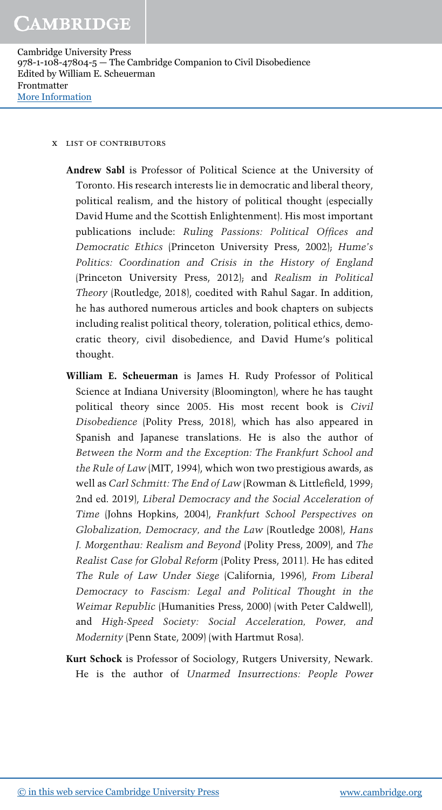#### x list of contributors

Andrew Sabl is Professor of Political Science at the University of Toronto. His research interests lie in democratic and liberal theory, political realism, and the history of political thought (especially David Hume and the Scottish Enlightenment). His most important publications include: *Ruling Passions: Political Of*fi*ces and Democratic Ethics* (Princeton University Press, 2002); *Hume*'*s Politics: Coordination and Crisis in the History of England* (Princeton University Press, 2012); and *Realism in Political Theory* (Routledge, 2018), coedited with Rahul Sagar. In addition, he has authored numerous articles and book chapters on subjects including realist political theory, toleration, political ethics, democratic theory, civil disobedience, and David Hume's political thought.

- William E. Scheuerman is James H. Rudy Professor of Political Science at Indiana University (Bloomington), where he has taught political theory since 2005. His most recent book is *Civil Disobedience* (Polity Press, 2018), which has also appeared in Spanish and Japanese translations. He is also the author of *Between the Norm and the Exception: The Frankfurt School and the Rule of Law* (MIT, 1994), which won two prestigious awards, as well as *Carl Schmitt: The End of Law* (Rowman & Littlefield, 1999; 2nd ed. 2019), *Liberal Democracy and the Social Acceleration of Time* (Johns Hopkins, 2004), *Frankfurt School Perspectives on Globalization, Democracy, and the Law* (Routledge 2008), *Hans J. Morgenthau: Realism and Beyond* (Polity Press, 2009), and *The Realist Case for Global Reform* (Polity Press, 2011). He has edited *The Rule of Law Under Siege* (California, 1996), *From Liberal Democracy to Fascism: Legal and Political Thought in the Weimar Republic* (Humanities Press, 2000) (with Peter Caldwell), and *High-Speed Society: Social Acceleration, Power, and Modernity* (Penn State, 2009) (with Hartmut Rosa).
- Kurt Schock is Professor of Sociology, Rutgers University, Newark. He is the author of *Unarmed Insurrections: People Power*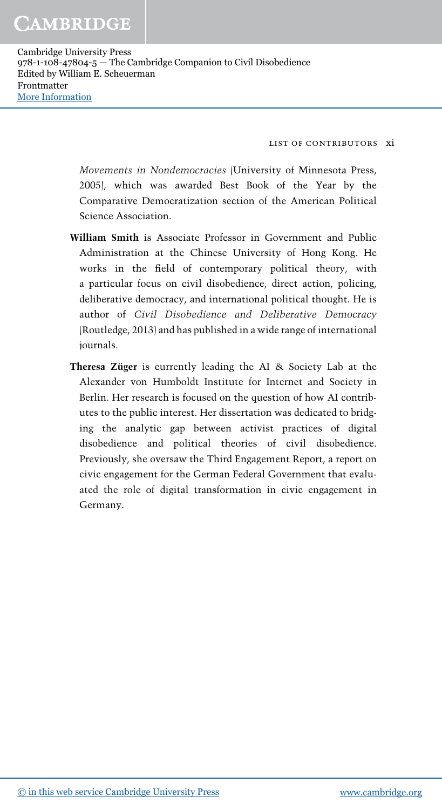list of contributors xi

*Movements in Nondemocracies* (University of Minnesota Press, 2005), which was awarded Best Book of the Year by the Comparative Democratization section of the American Political Science Association.

- William Smith is Associate Professor in Government and Public Administration at the Chinese University of Hong Kong. He works in the field of contemporary political theory, with a particular focus on civil disobedience, direct action, policing, deliberative democracy, and international political thought. He is author of *Civil Disobedience and Deliberative Democracy* (Routledge, 2013) and has published in a wide range of international journals.
- Theresa Züger is currently leading the AI & Society Lab at the Alexander von Humboldt Institute for Internet and Society in Berlin. Her research is focused on the question of how AI contributes to the public interest. Her dissertation was dedicated to bridging the analytic gap between activist practices of digital disobedience and political theories of civil disobedience. Previously, she oversaw the Third Engagement Report, a report on civic engagement for the German Federal Government that evaluated the role of digital transformation in civic engagement in Germany.